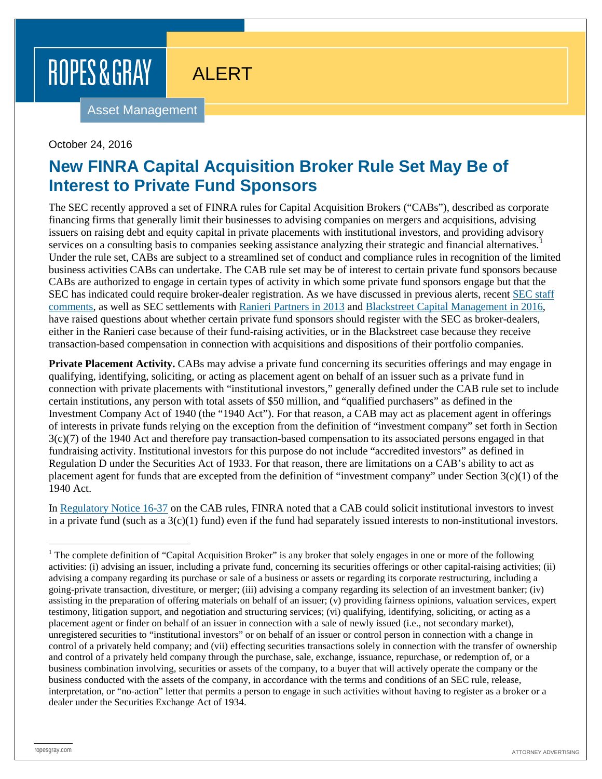# ROPES & GRAY

ALERT

Asset Management

## October 24, 2016

## **New FINRA Capital Acquisition Broker Rule Set May Be of Interest to Private Fund Sponsors**

The SEC recently approved a set of FINRA rules for Capital Acquisition Brokers ("CABs"), described as corporate financing firms that generally limit their businesses to advising companies on mergers and acquisitions, advising issuers on raising debt and equity capital in private placements with institutional investors, and providing advisory services on a consulting basis to companies seeking assistance analyzing their strategic and financial alternatives. Under the rule set, CABs are subject to a streamlined set of conduct and compliance rules in recognition of the limited business activities CABs can undertake. The CAB rule set may be of interest to certain private fund sponsors because CABs are authorized to engage in certain types of activity in which some private fund sponsors engage but that the SEC has indicated could require broker-dealer registration. As we have discussed in previous alerts, recent [SEC staff](https://www.ropesgray.com/newsroom/alerts/2013/10/Update-on-SEC-Staff-Position-on-Private-Fund-Broker-Dealer-Issues.aspx)  [comments,](https://www.ropesgray.com/newsroom/alerts/2013/10/Update-on-SEC-Staff-Position-on-Private-Fund-Broker-Dealer-Issues.aspx) as well as SEC settlements with [Ranieri Partners in 2013](https://www.ropesgray.com/newsroom/alerts/2013/03/SEC%20Settles%20Cases%20Alleging%20Compliance%20Failures%20at%20Private%20Equity%20Firms.aspx) and [Blackstreet Capital Management in 2016,](https://www.ropesgray.com/newsroom/alerts/2016/June/SEC-Settles-with-Private-Equity-Fund-Adviser-Charged-with-Acting-as-an-Unregistered-Broker.aspx) have raised questions about whether certain private fund sponsors should register with the SEC as broker-dealers, either in the Ranieri case because of their fund-raising activities, or in the Blackstreet case because they receive transaction-based compensation in connection with acquisitions and dispositions of their portfolio companies.

**Private Placement Activity.** CABs may advise a private fund concerning its securities offerings and may engage in qualifying, identifying, soliciting, or acting as placement agent on behalf of an issuer such as a private fund in connection with private placements with "institutional investors," generally defined under the CAB rule set to include certain institutions, any person with total assets of \$50 million, and "qualified purchasers" as defined in the Investment Company Act of 1940 (the "1940 Act"). For that reason, a CAB may act as placement agent in offerings of interests in private funds relying on the exception from the definition of "investment company" set forth in Section 3(c)(7) of the 1940 Act and therefore pay transaction-based compensation to its associated persons engaged in that fundraising activity. Institutional investors for this purpose do not include "accredited investors" as defined in Regulation D under the Securities Act of 1933. For that reason, there are limitations on a CAB's ability to act as placement agent for funds that are excepted from the definition of "investment company" under Section 3(c)(1) of the 1940 Act.

In [Regulatory Notice 16-37](http://www.finra.org/sites/default/files/notice_doc_file_ref/Regulatory-Notice-16-37.pdf) on the CAB rules, FINRA noted that a CAB could solicit institutional investors to invest in a private fund (such as a  $3(c)(1)$  fund) even if the fund had separately issued interests to non-institutional investors.

<span id="page-0-0"></span> $1$  The complete definition of "Capital Acquisition Broker" is any broker that solely engages in one or more of the following activities: (i) advising an issuer, including a private fund, concerning its securities offerings or other capital-raising activities; (ii) advising a company regarding its purchase or sale of a business or assets or regarding its corporate restructuring, including a going-private transaction, divestiture, or merger; (iii) advising a company regarding its selection of an investment banker; (iv) assisting in the preparation of offering materials on behalf of an issuer; (v) providing fairness opinions, valuation services, expert testimony, litigation support, and negotiation and structuring services; (vi) qualifying, identifying, soliciting, or acting as a placement agent or finder on behalf of an issuer in connection with a sale of newly issued (i.e., not secondary market), unregistered securities to "institutional investors" or on behalf of an issuer or control person in connection with a change in control of a privately held company; and (vii) effecting securities transactions solely in connection with the transfer of ownership and control of a privately held company through the purchase, sale, exchange, issuance, repurchase, or redemption of, or a business combination involving, securities or assets of the company, to a buyer that will actively operate the company or the business conducted with the assets of the company, in accordance with the terms and conditions of an SEC rule, release, interpretation, or "no-action" letter that permits a person to engage in such activities without having to register as a broker or a dealer under the Securities Exchange Act of 1934.